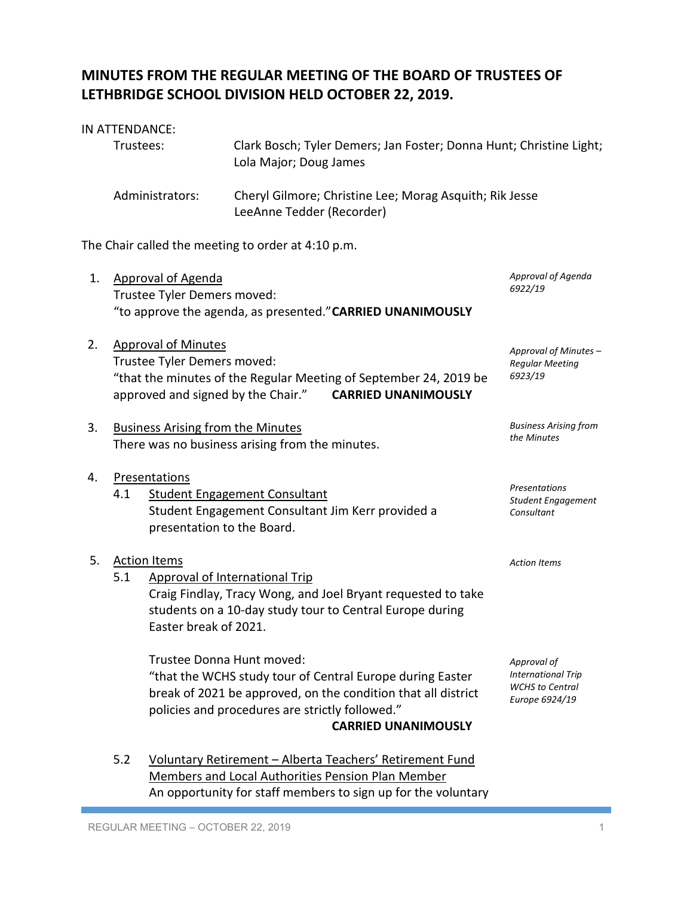## **MINUTES FROM THE REGULAR MEETING OF THE BOARD OF TRUSTEES OF LETHBRIDGE SCHOOL DIVISION HELD OCTOBER 22, 2019.**

## IN ATTENDANCE:

| Trustees:       | Clark Bosch; Tyler Demers; Jan Foster; Donna Hunt; Christine Light;<br>Lola Major; Doug James |
|-----------------|-----------------------------------------------------------------------------------------------|
| Administrators: | Cheryl Gilmore; Christine Lee; Morag Asquith; Rik Jesse<br>LeeAnne Tedder (Recorder)          |

The Chair called the meeting to order at 4:10 p.m.

| 1. |                                                                                                                                                                                                    | <b>Approval of Agenda</b><br>Trustee Tyler Demers moved:<br>"to approve the agenda, as presented." CARRIED UNANIMOUSLY                                                                                                                   | Approval of Agenda<br>6922/19                                                        |
|----|----------------------------------------------------------------------------------------------------------------------------------------------------------------------------------------------------|------------------------------------------------------------------------------------------------------------------------------------------------------------------------------------------------------------------------------------------|--------------------------------------------------------------------------------------|
| 2. | <b>Approval of Minutes</b><br>Trustee Tyler Demers moved:<br>"that the minutes of the Regular Meeting of September 24, 2019 be<br>approved and signed by the Chair."<br><b>CARRIED UNANIMOUSLY</b> |                                                                                                                                                                                                                                          | Approval of Minutes -<br><b>Regular Meeting</b><br>6923/19                           |
| 3. |                                                                                                                                                                                                    | <b>Business Arising from the Minutes</b><br>There was no business arising from the minutes.                                                                                                                                              | <b>Business Arising from</b><br>the Minutes                                          |
| 4. | 4.1                                                                                                                                                                                                | Presentations<br><b>Student Engagement Consultant</b><br>Student Engagement Consultant Jim Kerr provided a<br>presentation to the Board.                                                                                                 | Presentations<br>Student Engagement<br>Consultant                                    |
| 5. | 5.1                                                                                                                                                                                                | <b>Action Items</b><br><b>Approval of International Trip</b><br>Craig Findlay, Tracy Wong, and Joel Bryant requested to take<br>students on a 10-day study tour to Central Europe during<br>Easter break of 2021.                        | <b>Action Items</b>                                                                  |
|    |                                                                                                                                                                                                    | Trustee Donna Hunt moved:<br>"that the WCHS study tour of Central Europe during Easter<br>break of 2021 be approved, on the condition that all district<br>policies and procedures are strictly followed."<br><b>CARRIED UNANIMOUSLY</b> | Approval of<br><b>International Trip</b><br><b>WCHS</b> to Central<br>Europe 6924/19 |
|    | 5.2                                                                                                                                                                                                | Voluntary Retirement - Alberta Teachers' Retirement Fund<br>Members and Local Authorities Pension Plan Member                                                                                                                            |                                                                                      |

An opportunity for staff members to sign up for the voluntary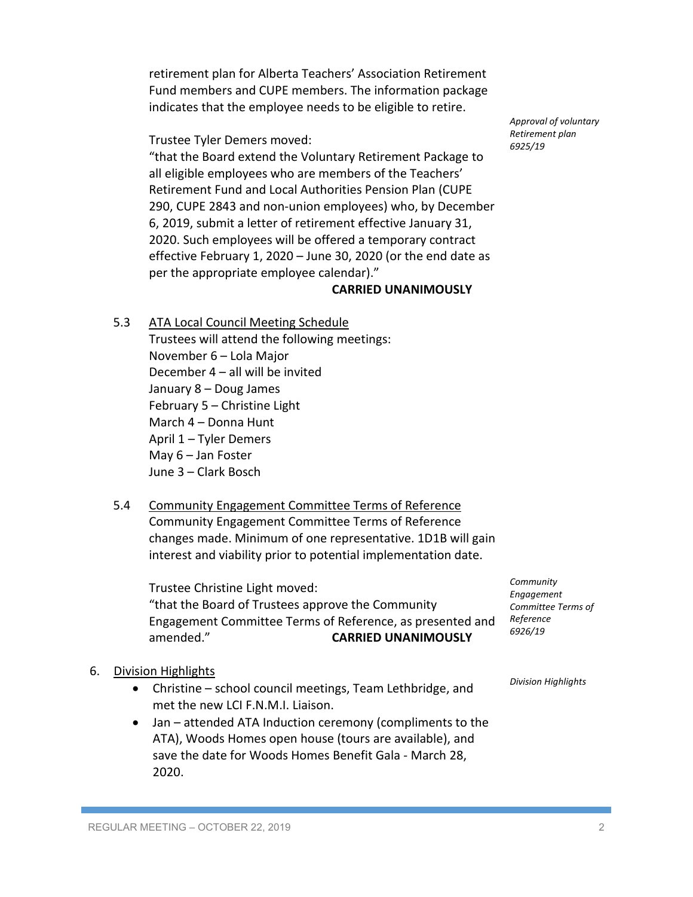retirement plan for Alberta Teachers' Association Retirement Fund members and CUPE members. The information package indicates that the employee needs to be eligible to retire.

Trustee Tyler Demers moved:

"that the Board extend the Voluntary Retirement Package to all eligible employees who are members of the Teachers' Retirement Fund and Local Authorities Pension Plan (CUPE 290, CUPE 2843 and non-union employees) who, by December 6, 2019, submit a letter of retirement effective January 31, 2020. Such employees will be offered a temporary contract effective February 1, 2020 – June 30, 2020 (or the end date as per the appropriate employee calendar)."

## **CARRIED UNANIMOUSLY**

5.3 ATA Local Council Meeting Schedule

Trustees will attend the following meetings: November 6 – Lola Major December 4 – all will be invited January 8 – Doug James February 5 – Christine Light March 4 – Donna Hunt April 1 – Tyler Demers May 6 – Jan Foster June 3 – Clark Bosch

5.4 Community Engagement Committee Terms of Reference Community Engagement Committee Terms of Reference changes made. Minimum of one representative. 1D1B will gain interest and viability prior to potential implementation date.

Trustee Christine Light moved: "that the Board of Trustees approve the Community Engagement Committee Terms of Reference, as presented and amended." **CARRIED UNANIMOUSLY**

- 6. Division Highlights
	- Christine school council meetings, Team Lethbridge, and met the new LCI F.N.M.I. Liaison.
	- Jan attended ATA Induction ceremony (compliments to the ATA), Woods Homes open house (tours are available), and save the date for Woods Homes Benefit Gala - March 28, 2020.

*Community Engagement Committee Terms of Reference 6926/19*

*Division Highlights*

*Approval of voluntary Retirement plan 6925/19*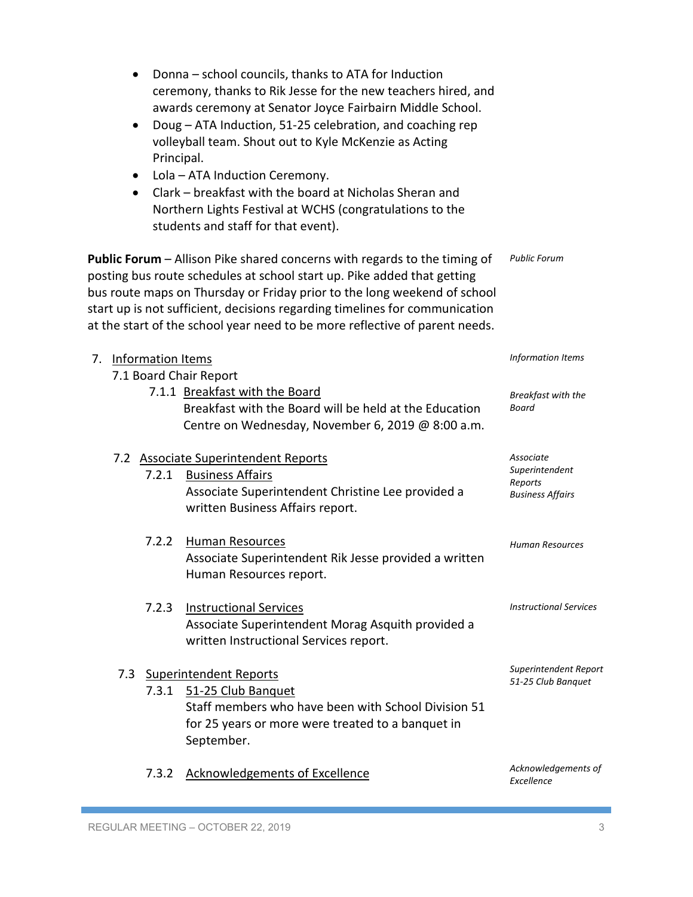| • Donna - school councils, thanks to ATA for Induction        |
|---------------------------------------------------------------|
| ceremony, thanks to Rik Jesse for the new teachers hired, and |
| awards ceremony at Senator Joyce Fairbairn Middle School.     |

- Doug ATA Induction, 51-25 celebration, and coaching rep volleyball team. Shout out to Kyle McKenzie as Acting Principal.
- Lola ATA Induction Ceremony.
- Clark breakfast with the board at Nicholas Sheran and Northern Lights Festival at WCHS (congratulations to the students and staff for that event).

**Public Forum** – Allison Pike shared concerns with regards to the timing of posting bus route schedules at school start up. Pike added that getting bus route maps on Thursday or Friday prior to the long weekend of school start up is not sufficient, decisions regarding timelines for communication at the start of the school year need to be more reflective of parent needs. *Public Forum*

| 7. | <b>Information Items</b> |                                                                                                                                                                               | <b>Information Items</b>                                          |
|----|--------------------------|-------------------------------------------------------------------------------------------------------------------------------------------------------------------------------|-------------------------------------------------------------------|
|    |                          | 7.1 Board Chair Report                                                                                                                                                        |                                                                   |
|    |                          | 7.1.1 Breakfast with the Board<br>Breakfast with the Board will be held at the Education<br>Centre on Wednesday, November 6, 2019 @ 8:00 a.m.                                 | Breakfast with the<br>Board                                       |
|    | 7.2.1                    | 7.2 Associate Superintendent Reports<br><b>Business Affairs</b><br>Associate Superintendent Christine Lee provided a<br>written Business Affairs report.                      | Associate<br>Superintendent<br>Reports<br><b>Business Affairs</b> |
|    | 7.2.2                    | Human Resources<br>Associate Superintendent Rik Jesse provided a written<br>Human Resources report.                                                                           | <b>Human Resources</b>                                            |
|    | 7.2.3                    | <b>Instructional Services</b><br>Associate Superintendent Morag Asquith provided a<br>written Instructional Services report.                                                  | <b>Instructional Services</b>                                     |
|    | 7.3<br>7.3.1             | <b>Superintendent Reports</b><br>51-25 Club Banquet<br>Staff members who have been with School Division 51<br>for 25 years or more were treated to a banquet in<br>September. | Superintendent Report<br>51-25 Club Banquet                       |
|    | 7.3.2                    | <b>Acknowledgements of Excellence</b>                                                                                                                                         | Acknowledgements of<br>Excellence                                 |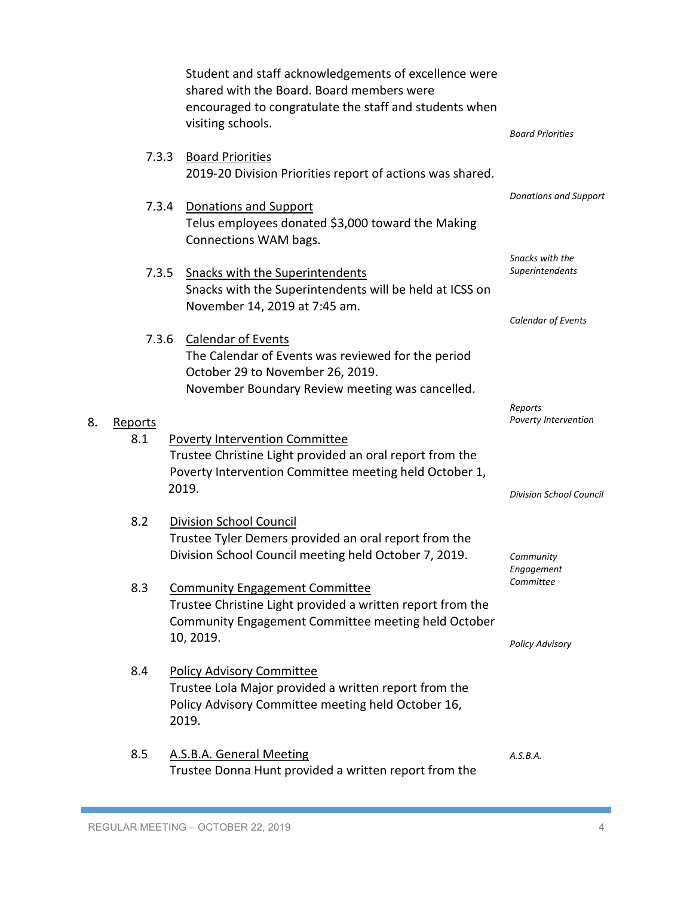|                | Student and staff acknowledgements of excellence were<br>shared with the Board. Board members were<br>encouraged to congratulate the staff and students when<br>visiting schools. | <b>Board Priorities</b>             |
|----------------|-----------------------------------------------------------------------------------------------------------------------------------------------------------------------------------|-------------------------------------|
| 7.3.3          | <b>Board Priorities</b><br>2019-20 Division Priorities report of actions was shared.                                                                                              |                                     |
| 7.3.4          | Donations and Support<br>Telus employees donated \$3,000 toward the Making<br>Connections WAM bags.                                                                               | Donations and Support               |
| 7.3.5          | <b>Snacks with the Superintendents</b><br>Snacks with the Superintendents will be held at ICSS on<br>November 14, 2019 at 7:45 am.                                                | Snacks with the<br>Superintendents  |
|                | 7.3.6 Calendar of Events<br>The Calendar of Events was reviewed for the period<br>October 29 to November 26, 2019.<br>November Boundary Review meeting was cancelled.             | Calendar of Events                  |
| Reports<br>8.1 | <b>Poverty Intervention Committee</b><br>Trustee Christine Light provided an oral report from the<br>Poverty Intervention Committee meeting held October 1,                       | Reports<br>Poverty Intervention     |
|                | 2019.                                                                                                                                                                             | <b>Division School Council</b>      |
| 8.2            | <b>Division School Council</b><br>Trustee Tyler Demers provided an oral report from the<br>Division School Council meeting held October 7, 2019.                                  | Community<br>Engagement             |
| 8.3            | <b>Community Engagement Committee</b><br>Trustee Christine Light provided a written report from the<br>Community Engagement Committee meeting held October<br>10, 2019.           | Committee<br><b>Policy Advisory</b> |
| 8.4            | <b>Policy Advisory Committee</b><br>Trustee Lola Major provided a written report from the<br>Policy Advisory Committee meeting held October 16,<br>2019.                          |                                     |
| 8.5            | A.S.B.A. General Meeting<br>Trustee Donna Hunt provided a written report from the                                                                                                 | A.S.B.A.                            |

8. Reports